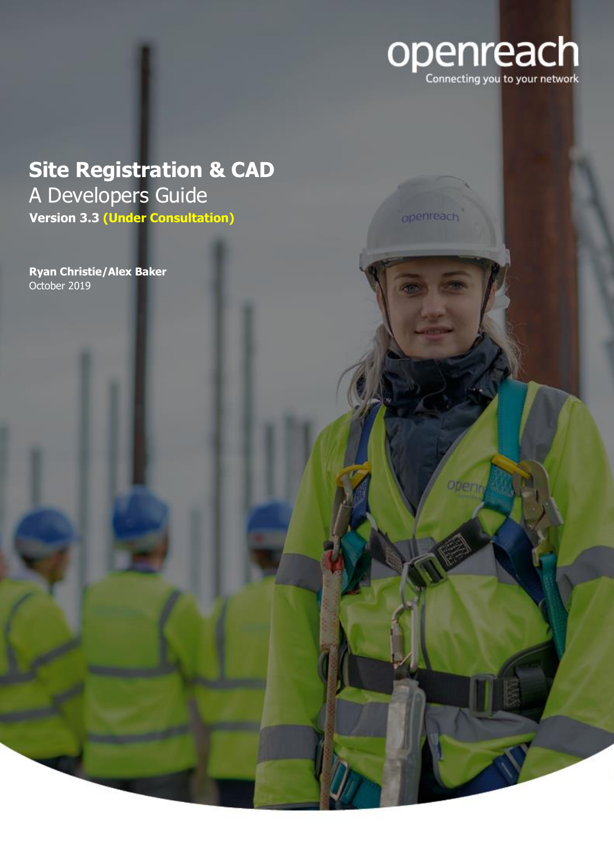

# <span id="page-0-0"></span>**Site Registration & CAD** A Developers Guide **Version 3.3 (Under Consultation)**

October 2019 **Ryan Christie/Alex Baker** openreach

**Oberv**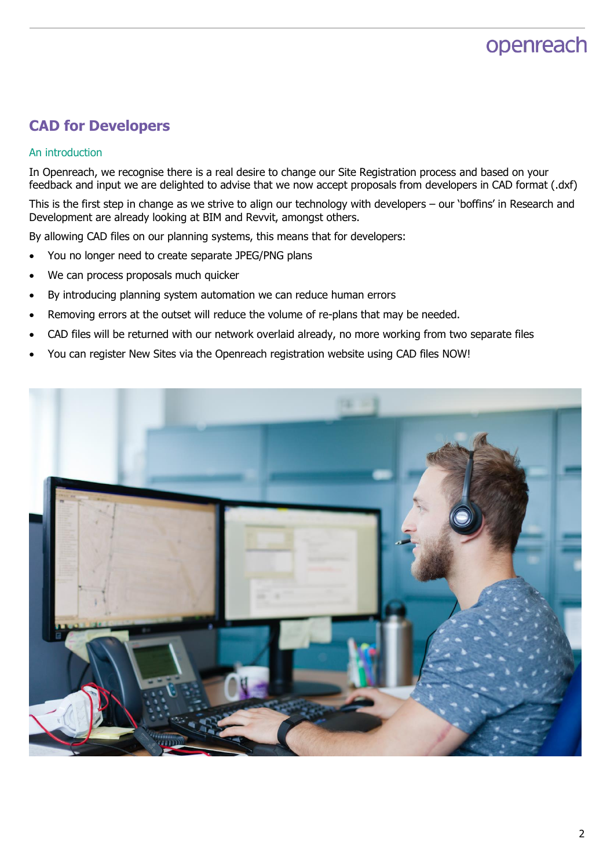## **CAD for Developers**

#### An introduction

In Openreach, we recognise there is a real desire to change our Site Registration process and based on your feedback and input we are delighted to advise that we now accept proposals from developers in CAD format (.dxf)

This is the first step in change as we strive to align our technology with developers – our 'boffins' in Research and Development are already looking at BIM and Revvit, amongst others.

By allowing CAD files on our planning systems, this means that for developers:

- You no longer need to create separate JPEG/PNG plans
- We can process proposals much quicker
- By introducing planning system automation we can reduce human errors
- Removing errors at the outset will reduce the volume of re-plans that may be needed.
- CAD files will be returned with our network overlaid already, no more working from two separate files
- You can register New Sites via the Openreach registration website using CAD files NOW!

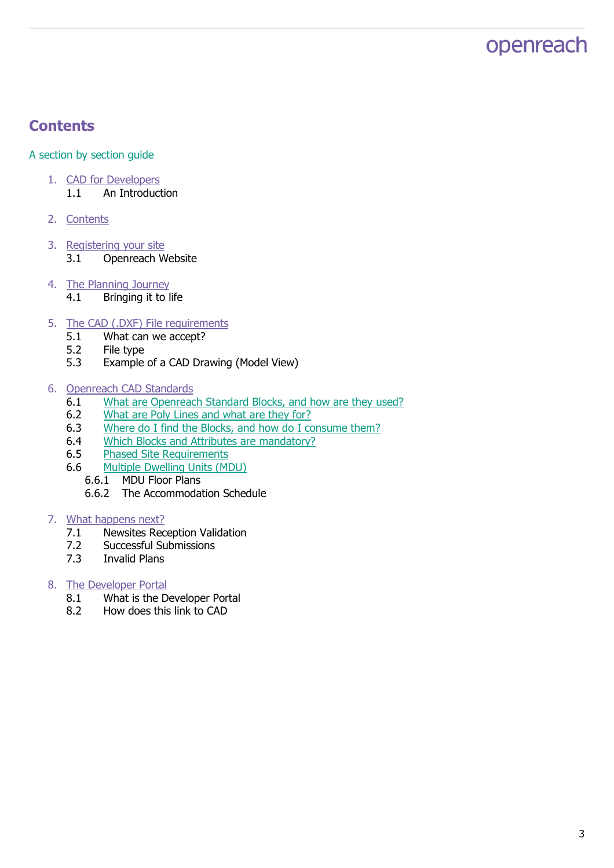### <span id="page-2-0"></span>**Contents**

#### A section by section guide

- 1. [CAD for Developers](#page-0-0) 1.1 An Introduction
- 2. [Contents](#page-2-0)
- 3. [Registering your site](#page-3-0) 3.1 Openreach Website
- 4. [The Planning Journey](#page-4-0)
	- 4.1 Bringing it to life
- 5. [The CAD \(.DXF\) File requirements](#page-5-0)
	- 5.1 What can we accept?
	- 5.2 File type
	- 5.3 Example of a CAD Drawing (Model View)
- 6. [Openreach CAD Standards](#page-6-0)
	- 6.1 [What are Openreach Standard Blocks, and how are they used?](#page-6-1)
	- 6.2 [What are Poly Lines and what are they for?](#page-7-0)
	- 6.3 [Where do I find the Blocks, and how do I consume them?](#page-7-1)
	- 6.4 [Which Blocks and Attributes are mandatory?](#page-8-0)
	- 6.5 [Phased Site Requirements](#page-8-1)
	- 6.6 Multiple Dwelling Units (MDU)
		- 6.6.1 MDU Floor Plans
		- 6.6.2 The Accommodation Schedule

#### 7. What happens next?

- 7.1 Newsites Reception Validation
- 7.2 Successful Submissions
- 7.3 Invalid Plans

#### 8. The Developer Portal

- 8.1 What is the Developer Portal
- 8.2 How does this link to CAD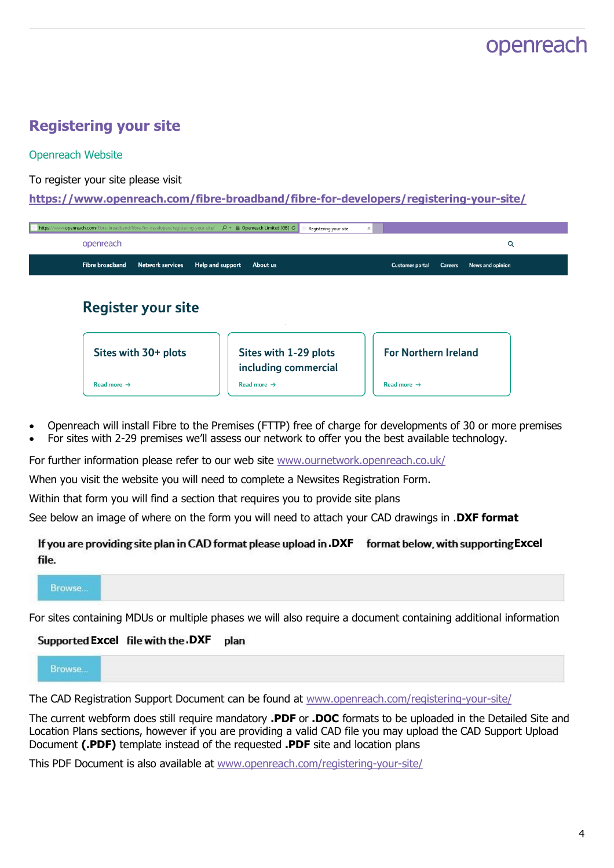## <span id="page-3-0"></span>**Registering your site**

#### Openreach Website

To register your site please visit

**<https://www.openreach.com/fibre-broadband/fibre-for-developers/registering-your-site/>**

| www.openreach.com/fibre-broadband/fibre-for-developers/registering-your-site/<br>https: | $\mathcal{Q}$ $\sim$ $\mathcal{Q}$ Openreach Limited [GB] $\mathcal{Q}$<br>Registering your site<br>$\times$ |                                          |                  |
|-----------------------------------------------------------------------------------------|--------------------------------------------------------------------------------------------------------------|------------------------------------------|------------------|
| openreach                                                                               |                                                                                                              |                                          | Q                |
| <b>Fibre broadband</b><br><b>Network services</b><br>Help and support                   | About us                                                                                                     | <b>Customer portal</b><br><b>Careers</b> | News and opinion |
| <b>Register your site</b>                                                               |                                                                                                              |                                          |                  |
| Sites with 30+ plots                                                                    | Sites with 1-29 plots<br>including commercial                                                                | <b>For Northern Ireland</b>              |                  |

- Openreach will install Fibre to the Premises (FTTP) free of charge for developments of 30 or more premises
- For sites with 2-29 premises we'll assess our network to offer you the best available technology.

For further information please refer to our web site [www.ournetwork.openreach.co.uk/](https://www.ournetwork.openreach.co.uk/)

When you visit the website you will need to complete a Newsites Registration Form.

Within that form you will find a section that requires you to provide site plans

See below an image of where on the form you will need to attach your CAD drawings in .**DXF format**

#### **.DXF** format below, with supporting Excel file.



For sites containing MDUs or multiple phases we will also require a document containing additional information

#### **Excel .DXF**plan

Browse.

The CAD Registration Support Document can be found at [www.openreach.com/registering-your-site/](https://www.openreach.com/fibre-broadband/fibre-for-developers/registering-your-site/)

The current webform does still require mandatory **.PDF** or **.DOC** formats to be uploaded in the Detailed Site and Location Plans sections, however if you are providing a valid CAD file you may upload the CAD Support Upload Document **(.PDF)** template instead of the requested **.PDF** site and location plans

This PDF Document is also available at [www.openreach.com/registering-your-site/](https://www.openreach.com/fibre-broadband/fibre-for-developers/registering-your-site/)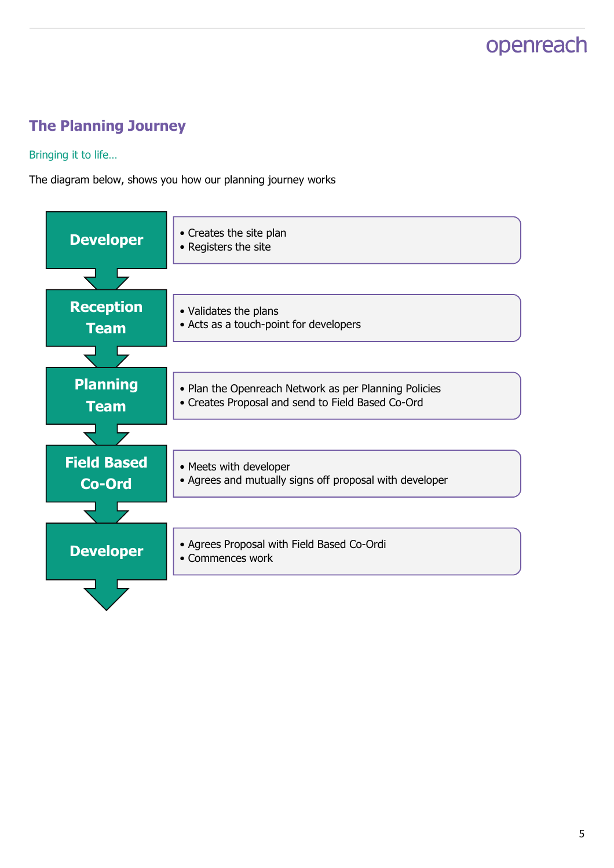# <span id="page-4-0"></span>**The Planning Journey**

Bringing it to life…

The diagram below, shows you how our planning journey works

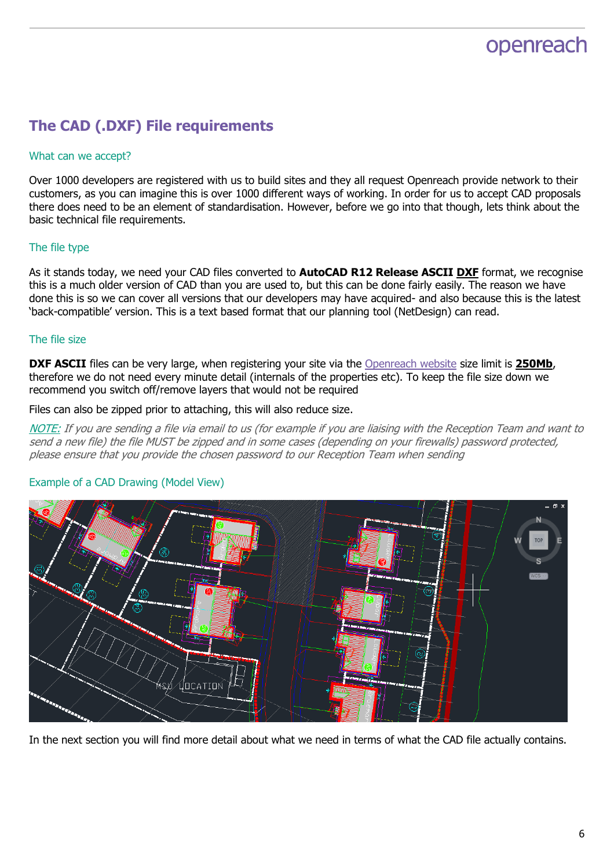## <span id="page-5-0"></span>**The CAD (.DXF) File requirements**

#### What can we accept?

Over 1000 developers are registered with us to build sites and they all request Openreach provide network to their customers, as you can imagine this is over 1000 different ways of working. In order for us to accept CAD proposals there does need to be an element of standardisation. However, before we go into that though, lets think about the basic technical file requirements.

#### The file type

As it stands today, we need your CAD files converted to **AutoCAD R12 Release ASCII DXF** format, we recognise this is a much older version of CAD than you are used to, but this can be done fairly easily. The reason we have done this is so we can cover all versions that our developers may have acquired- and also because this is the latest 'back-compatible' version. This is a text based format that our planning tool (NetDesign) can read.

#### The file size

**DXF ASCII** files can be very large, when registering your site via the [Openreach website](https://www.openreach.com/fibre-broadband/fibre-for-developers/registering-your-site/) size limit is 250Mb, therefore we do not need every minute detail (internals of the properties etc). To keep the file size down we recommend you switch off/remove layers that would not be required

Files can also be zipped prior to attaching, this will also reduce size.

NOTE: If you are sending a file via email to us (for example if you are liaising with the Reception Team and want to send a new file) the file MUST be zipped and in some cases (depending on your firewalls) password protected, please ensure that you provide the chosen password to our Reception Team when sending



#### Example of a CAD Drawing (Model View)

In the next section you will find more detail about what we need in terms of what the CAD file actually contains.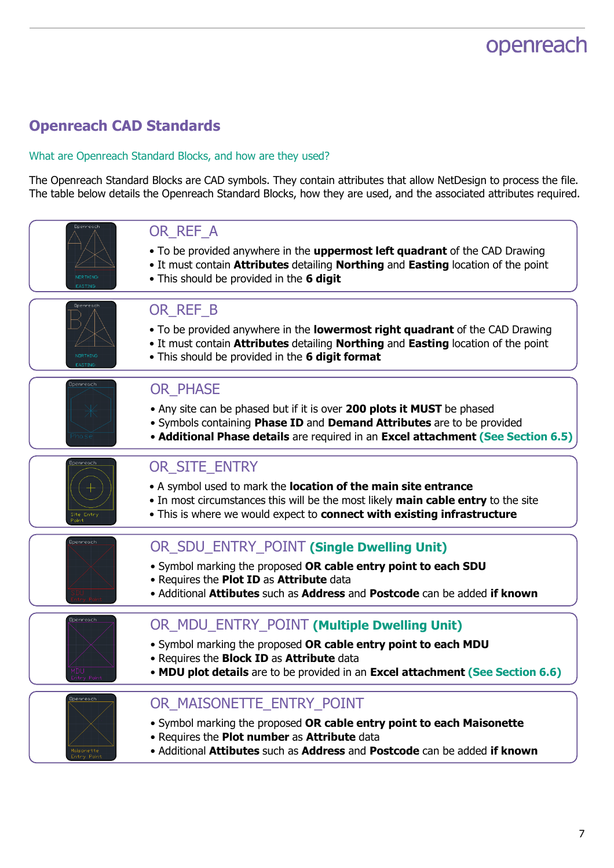# <span id="page-6-0"></span>**Openreach CAD Standards**

#### <span id="page-6-1"></span>What are Openreach Standard Blocks, and how are they used?

The Openreach Standard Blocks are CAD symbols. They contain attributes that allow NetDesign to process the file. The table below details the Openreach Standard Blocks, how they are used, and the associated attributes required.

| <b>Openreach</b>                       | OR_REF_A<br>• To be provided anywhere in the <b>uppermost left quadrant</b> of the CAD Drawing<br>. It must contain Attributes detailing Northing and Easting location of the point<br>. This should be provided in the 6 digit                         |
|----------------------------------------|---------------------------------------------------------------------------------------------------------------------------------------------------------------------------------------------------------------------------------------------------------|
| Doenreac<br>NORTHING<br>EASTING        | OR_REF_B<br>• To be provided anywhere in the lowermost right quadrant of the CAD Drawing<br>. It must contain Attributes detailing Northing and Easting location of the point<br>. This should be provided in the 6 digit format                        |
| Openreach                              | <b>OR_PHASE</b><br>• Any site can be phased but if it is over 200 plots it MUST be phased<br>• Symbols containing Phase ID and Demand Attributes are to be provided<br>• Additional Phase details are required in an Excel attachment (See Section 6.5) |
| Openreach<br>Site Entry                | OR_SITE_ENTRY<br>• A symbol used to mark the location of the main site entrance<br>• In most circumstances this will be the most likely main cable entry to the site<br>. This is where we would expect to connect with existing infrastructure         |
| Openreach                              | OR_SDU_ENTRY_POINT (Single Dwelling Unit)<br>. Symbol marking the proposed OR cable entry point to each SDU<br>. Requires the Plot ID as Attribute data<br>. Additional Attibutes such as Address and Postcode can be added if known                    |
| Openreach                              | OR MDU ENTRY POINT (Multiple Dwelling Unit)<br>. Symbol marking the proposed OR cable entry point to each MDU<br>. Requires the Block ID as Attribute data<br>• MDU plot details are to be provided in an Excel attachment (See Section 6.6)            |
| Openreach<br>Maisonette<br>Entry Point | OR_MAISONETTE_ENTRY_POINT<br>• Symbol marking the proposed OR cable entry point to each Maisonette<br>. Requires the Plot number as Attribute data<br>• Additional Attibutes such as Address and Postcode can be added if known                         |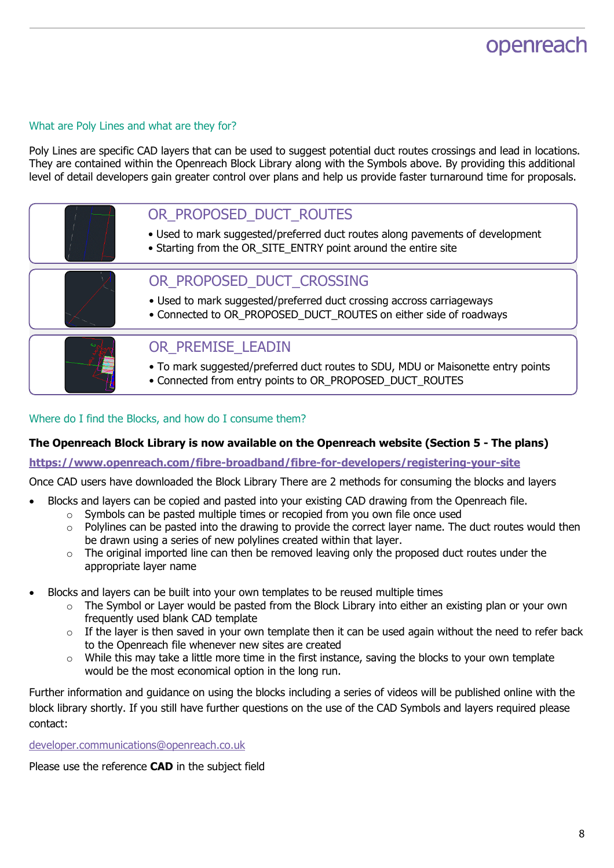#### <span id="page-7-0"></span>What are Poly Lines and what are they for?

Poly Lines are specific CAD layers that can be used to suggest potential duct routes crossings and lead in locations. They are contained within the Openreach Block Library along with the Symbols above. By providing this additional level of detail developers gain greater control over plans and help us provide faster turnaround time for proposals.

| OR PROPOSED DUCT ROUTES<br>• Used to mark suggested/preferred duct routes along pavements of development<br>• Starting from the OR_SITE_ENTRY point around the entire site |
|----------------------------------------------------------------------------------------------------------------------------------------------------------------------------|
| OR PROPOSED DUCT CROSSING<br>• Used to mark suggested/preferred duct crossing accross carriageways<br>• Connected to OR_PROPOSED_DUCT_ROUTES on either side of roadways    |
| OR PREMISE LEADIN<br>• To mark suggested/preferred duct routes to SDU, MDU or Maisonette entry points<br>• Connected from entry points to OR_PROPOSED_DUCT_ROUTES          |

#### <span id="page-7-1"></span>Where do I find the Blocks, and how do I consume them?

#### **The Openreach Block Library is now available on the Openreach website (Section 5 - The plans)**

**<https://www.openreach.com/fibre-broadband/fibre-for-developers/registering-your-site>**

Once CAD users have downloaded the Block Library There are 2 methods for consuming the blocks and layers

- Blocks and layers can be copied and pasted into your existing CAD drawing from the Openreach file.
	- o Symbols can be pasted multiple times or recopied from you own file once used
	- o Polylines can be pasted into the drawing to provide the correct layer name. The duct routes would then be drawn using a series of new polylines created within that layer.
	- $\circ$  The original imported line can then be removed leaving only the proposed duct routes under the appropriate layer name
- Blocks and layers can be built into your own templates to be reused multiple times
	- o The Symbol or Layer would be pasted from the Block Library into either an existing plan or your own frequently used blank CAD template
	- $\circ$  If the layer is then saved in your own template then it can be used again without the need to refer back to the Openreach file whenever new sites are created
	- o While this may take a little more time in the first instance, saving the blocks to your own template would be the most economical option in the long run.

Further information and guidance on using the blocks including a series of videos will be published online with the block library shortly. If you still have further questions on the use of the CAD Symbols and layers required please contact:

[developer.communications@openreach.co.uk](mailto:developer.communications@openreach.co.uk)

Please use the reference **CAD** in the subject field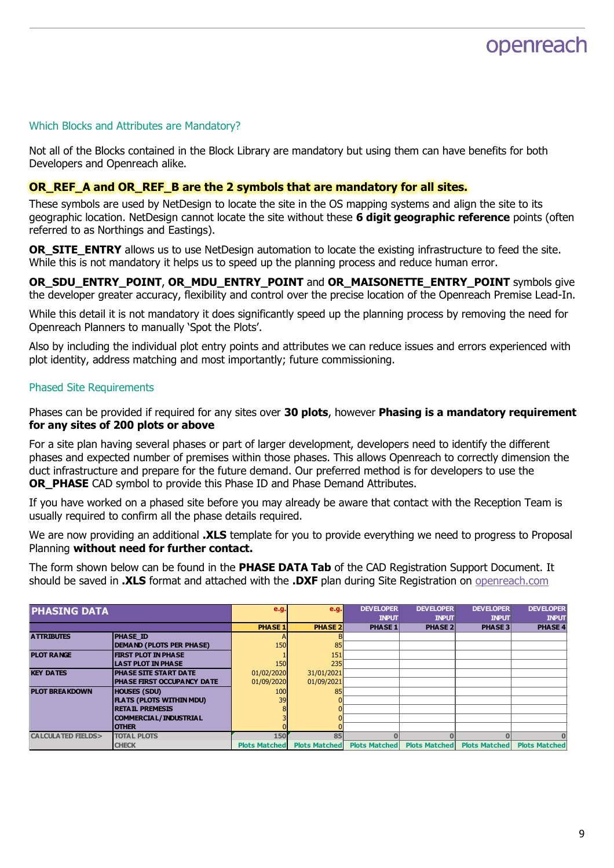#### <span id="page-8-0"></span>Which Blocks and Attributes are Mandatory?

Not all of the Blocks contained in the Block Library are mandatory but using them can have benefits for both Developers and Openreach alike.

#### **OR\_REF\_A and OR\_REF\_B are the 2 symbols that are mandatory for all sites.**

These symbols are used by NetDesign to locate the site in the OS mapping systems and align the site to its geographic location. NetDesign cannot locate the site without these **6 digit geographic reference** points (often referred to as Northings and Eastings).

**OR\_SITE\_ENTRY** allows us to use NetDesign automation to locate the existing infrastructure to feed the site. While this is not mandatory it helps us to speed up the planning process and reduce human error.

**OR\_SDU\_ENTRY\_POINT**, **OR\_MDU\_ENTRY\_POINT** and **OR\_MAISONETTE\_ENTRY\_POINT** symbols give the developer greater accuracy, flexibility and control over the precise location of the Openreach Premise Lead-In.

While this detail it is not mandatory it does significantly speed up the planning process by removing the need for Openreach Planners to manually 'Spot the Plots'.

Also by including the individual plot entry points and attributes we can reduce issues and errors experienced with plot identity, address matching and most importantly; future commissioning.

#### <span id="page-8-1"></span>Phased Site Requirements

Phases can be provided if required for any sites over **30 plots**, however **Phasing is a mandatory requirement for any sites of 200 plots or above**

For a site plan having several phases or part of larger development, developers need to identify the different phases and expected number of premises within those phases. This allows Openreach to correctly dimension the duct infrastructure and prepare for the future demand. Our preferred method is for developers to use the **OR PHASE** CAD symbol to provide this Phase ID and Phase Demand Attributes.

If you have worked on a phased site before you may already be aware that contact with the Reception Team is usually required to confirm all the phase details required.

We are now providing an additional **.XLS** template for you to provide everything we need to progress to Proposal Planning **without need for further contact.**

The form shown below can be found in the **PHASE DATA Tab** of the CAD Registration Support Document. It should be saved in **.XLS** format and attached with the **.DXF** plan during Site Registration on [openreach.com](https://www.openreach.com/fibre-broadband/fibre-for-developers/registering-your-site)

| <b>PHASING DATA</b>          |                                   | e.g.                 | e.g.                 | <b>DEVELOPER</b>     | <b>DEVELOPER</b> | <b>DEVELOPER</b>                   | <b>DEVELOPER</b>     |
|------------------------------|-----------------------------------|----------------------|----------------------|----------------------|------------------|------------------------------------|----------------------|
|                              |                                   |                      |                      | <b>INPUT</b>         | <b>INPUT</b>     | <b>INPUT</b>                       | <b>INPUT</b>         |
|                              |                                   | <b>PHASE 1</b>       | <b>PHASE 2</b>       | <b>PHASE 1</b>       | <b>PHASE 2</b>   | <b>PHASE 3</b>                     | <b>PHASE 4</b>       |
| <b>ATTRIBUTES</b>            | <b>PHASE ID</b>                   |                      |                      |                      |                  |                                    |                      |
|                              | <b>DEMAND (PLOTS PER PHASE)</b>   | 150                  | 85                   |                      |                  |                                    |                      |
| <b>PLOT RANGE</b>            | <b>FIRST PLOT IN PHASE</b>        |                      | 151                  |                      |                  |                                    |                      |
|                              | <b>LAST PLOT IN PHASE</b>         | 150                  | 235                  |                      |                  |                                    |                      |
| <b>KEY DATES</b>             | PHASE SITE START DATE             | 01/02/2020           | 31/01/2021           |                      |                  |                                    |                      |
|                              | <b>PHASE FIRST OCCUPANCY DATE</b> | 01/09/2020           | 01/09/2021           |                      |                  |                                    |                      |
| <b>PLOT BREAKDOWN</b>        | <b>HOUSES (SDU)</b>               | 100                  | 85                   |                      |                  |                                    |                      |
|                              | <b>FLATS (PLOTS WITHIN MDU)</b>   | 39                   |                      |                      |                  |                                    |                      |
|                              | <b>RETAIL PREMESIS</b>            |                      |                      |                      |                  |                                    |                      |
|                              | COMMERCIAL/INDUSTRIAL             |                      |                      |                      |                  |                                    |                      |
|                              | <b>OTHER</b>                      |                      |                      |                      |                  |                                    |                      |
| <b>CALCULATED FIELDS&gt;</b> | <b>TOTAL PLOTS</b>                | 150                  | 85                   |                      |                  |                                    |                      |
|                              | <b>CHECK</b>                      | <b>Plots Matched</b> | <b>Plots Matched</b> | <b>Plots Matched</b> |                  | <b>Plots Matched Plots Matched</b> | <b>Plots Matched</b> |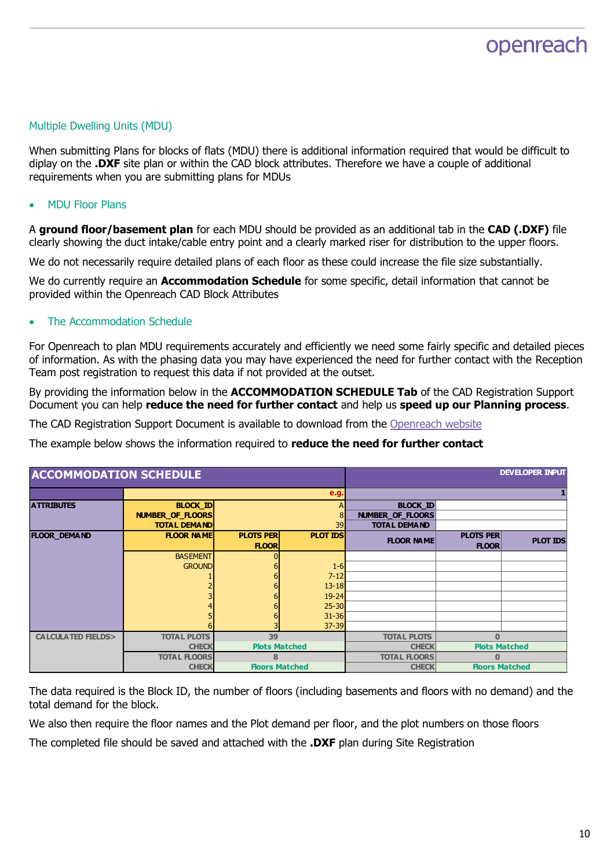#### Multiple Dwelling Units (MDU)

When submitting Plans for blocks of flats (MDU) there is additional information required that would be difficult to diplay on the **.DXF** site plan or within the CAD block attributes. Therefore we have a couple of additional requirements when you are submitting plans for MDUs

#### MDU Floor Plans

A **ground floor/basement plan** for each MDU should be provided as an additional tab in the **CAD (.DXF)** file clearly showing the duct intake/cable entry point and a clearly marked riser for distribution to the upper floors.

We do not necessarily require detailed plans of each floor as these could increase the file size substantially.

We do currently require an **Accommodation Schedule** for some specific, detail information that cannot be provided within the Openreach CAD Block Attributes

#### The Accommodation Schedule

For Openreach to plan MDU requirements accurately and efficiently we need some fairly specific and detailed pieces of information. As with the phasing data you may have experienced the need for further contact with the Reception Team post registration to request this data if not provided at the outset.

By providing the information below in the **ACCOMMODATION SCHEDULE Tab** of the CAD Registration Support Document you can help **reduce the need for further contact** and help us **speed up our Planning process**.

The CAD Registration Support Document is available to download from the [Openreach website](https://www.openreach.com/fibre-broadband/fibre-for-developers/registering-your-site/)

The example below shows the information required to **reduce the need for further contact**

| <b>ACCOMMODATION SCHEDULE</b> |                         |                       |                 | <b>DEVELOPER INPUT</b>  |                       |                 |  |
|-------------------------------|-------------------------|-----------------------|-----------------|-------------------------|-----------------------|-----------------|--|
|                               |                         |                       | e.g.            |                         |                       |                 |  |
| <b>ATTRIBUTES</b>             | <b>BLOCK ID</b>         |                       |                 | <b>BLOCK ID</b>         |                       |                 |  |
|                               | <b>NUMBER OF FLOORS</b> |                       |                 | <b>NUMBER OF FLOORS</b> |                       |                 |  |
|                               | <b>TOTAL DEMAND</b>     |                       | 39              | <b>TOTAL DEMAND</b>     |                       |                 |  |
| <b>FLOOR DEMAND</b>           | <b>FLOOR NAME</b>       | <b>PLOTS PER</b>      | <b>PLOT IDS</b> | <b>FLOOR NAME</b>       | <b>PLOTS PER</b>      | <b>PLOT IDS</b> |  |
|                               |                         | <b>FLOOR</b>          |                 |                         | <b>FLOOR</b>          |                 |  |
|                               | <b>BASEMENT</b>         |                       |                 |                         |                       |                 |  |
|                               | <b>GROUND</b>           |                       | $1 - 6$         |                         |                       |                 |  |
|                               |                         |                       | $7 - 12$        |                         |                       |                 |  |
|                               |                         |                       | $13 - 18$       |                         |                       |                 |  |
|                               |                         |                       | $19 - 24$       |                         |                       |                 |  |
|                               |                         |                       | $25 - 30$       |                         |                       |                 |  |
|                               |                         |                       | $31 - 36$       |                         |                       |                 |  |
|                               |                         |                       | $37 - 39$       |                         |                       |                 |  |
| <b>CALCULATED FIELDS&gt;</b>  | <b>TOTAL PLOTS</b>      | 39                    |                 | <b>TOTAL PLOTS</b>      |                       |                 |  |
|                               | <b>CHECK</b>            | <b>Plots Matched</b>  |                 | <b>CHECK</b>            | <b>Plots Matched</b>  |                 |  |
|                               | <b>TOTAL FLOORS</b>     | 8                     |                 | <b>TOTAL FLOORS</b>     |                       |                 |  |
|                               | <b>CHECK</b>            | <b>Floors Matched</b> |                 | <b>CHECK</b>            | <b>Floors Matched</b> |                 |  |

The data required is the Block ID, the number of floors (including basements and floors with no demand) and the total demand for the block.

We also then require the floor names and the Plot demand per floor, and the plot numbers on those floors

The completed file should be saved and attached with the **.DXF** plan during Site Registration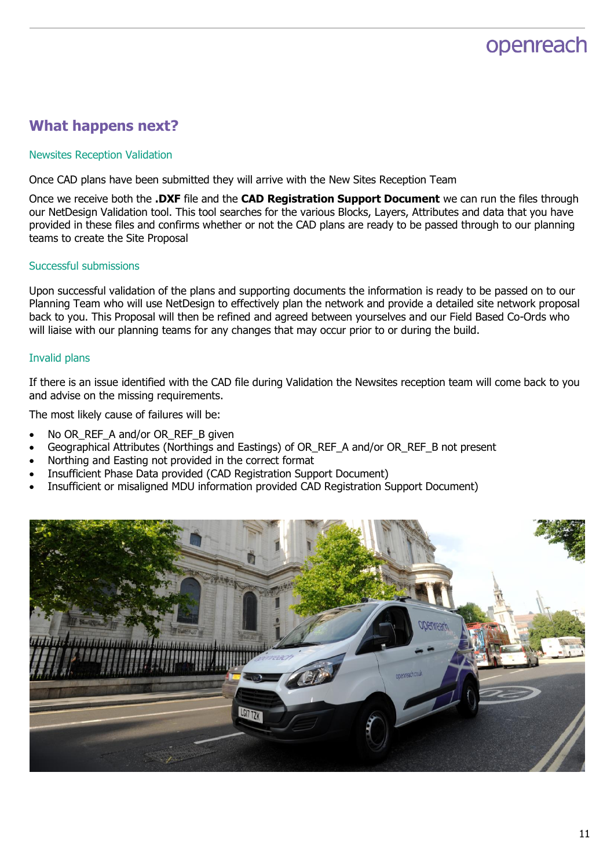## **What happens next?**

#### Newsites Reception Validation

Once CAD plans have been submitted they will arrive with the New Sites Reception Team

Once we receive both the **.DXF** file and the **CAD Registration Support Document** we can run the files through our NetDesign Validation tool. This tool searches for the various Blocks, Layers, Attributes and data that you have provided in these files and confirms whether or not the CAD plans are ready to be passed through to our planning teams to create the Site Proposal

#### Successful submissions

Upon successful validation of the plans and supporting documents the information is ready to be passed on to our Planning Team who will use NetDesign to effectively plan the network and provide a detailed site network proposal back to you. This Proposal will then be refined and agreed between yourselves and our Field Based Co-Ords who will liaise with our planning teams for any changes that may occur prior to or during the build.

#### Invalid plans

If there is an issue identified with the CAD file during Validation the Newsites reception team will come back to you and advise on the missing requirements.

The most likely cause of failures will be:

- No OR\_REF\_A and/or OR\_REF\_B given
- Geographical Attributes (Northings and Eastings) of OR\_REF\_A and/or OR\_REF\_B not present
- Northing and Easting not provided in the correct format
- Insufficient Phase Data provided (CAD Registration Support Document)
- Insufficient or misaligned MDU information provided CAD Registration Support Document)

![](_page_10_Picture_15.jpeg)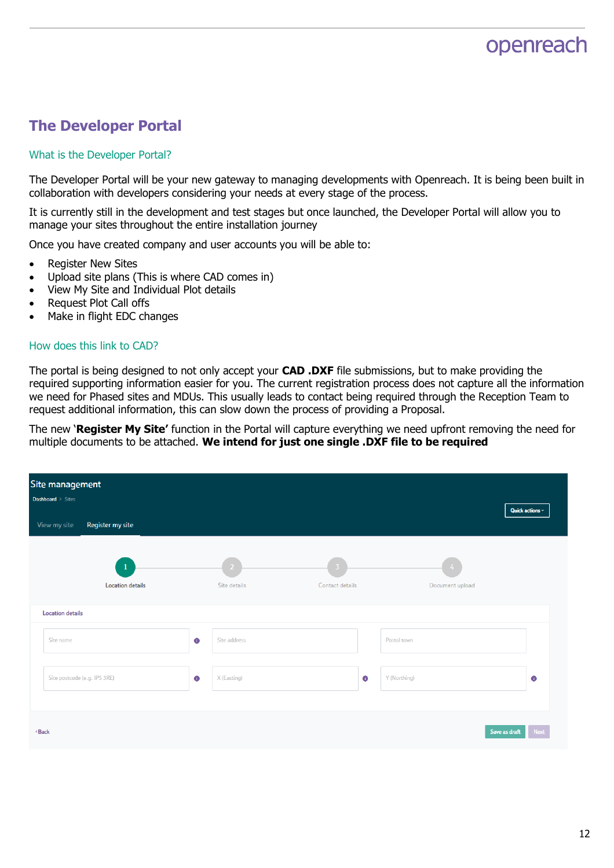## **The Developer Portal**

#### What is the Developer Portal?

The Developer Portal will be your new gateway to managing developments with Openreach. It is being been built in collaboration with developers considering your needs at every stage of the process.

It is currently still in the development and test stages but once launched, the Developer Portal will allow you to manage your sites throughout the entire installation journey

Once you have created company and user accounts you will be able to:

- Register New Sites
- Upload site plans (This is where CAD comes in)
- View My Site and Individual Plot details
- Request Plot Call offs
- Make in flight EDC changes

#### How does this link to CAD?

The portal is being designed to not only accept your **CAD .DXF** file submissions, but to make providing the required supporting information easier for you. The current registration process does not capture all the information we need for Phased sites and MDUs. This usually leads to contact being required through the Reception Team to request additional information, this can slow down the process of providing a Proposal.

The new '**Register My Site'** function in the Portal will capture everything we need upfront removing the need for multiple documents to be attached. **We intend for just one single .DXF file to be required**

| Site management<br><b>Dashboard</b> > Sites                                                       |                                         |                    |                 |           |                 |                             |
|---------------------------------------------------------------------------------------------------|-----------------------------------------|--------------------|-----------------|-----------|-----------------|-----------------------------|
| Register my site<br>View my site                                                                  |                                         |                    |                 |           |                 | Quick actions $\smallsmile$ |
|                                                                                                   | $\mathbf{1}$<br><b>Location details</b> | -2<br>Site details | Contact details |           | Document upload |                             |
| <b>Location details</b>                                                                           |                                         |                    |                 |           |                 |                             |
| Site name                                                                                         | $\bullet$                               | Site address       |                 |           | Postal town     |                             |
| Site postcode (e.g. IP5 3RE)                                                                      | $\bullet$                               | X (Easting)        |                 | $\bullet$ | Y (Northing)    | $\bullet$                   |
| <back< td=""><td></td><td></td><td></td><td></td><td></td><td>Next<br/>Save as draft</td></back<> |                                         |                    |                 |           |                 | Next<br>Save as draft       |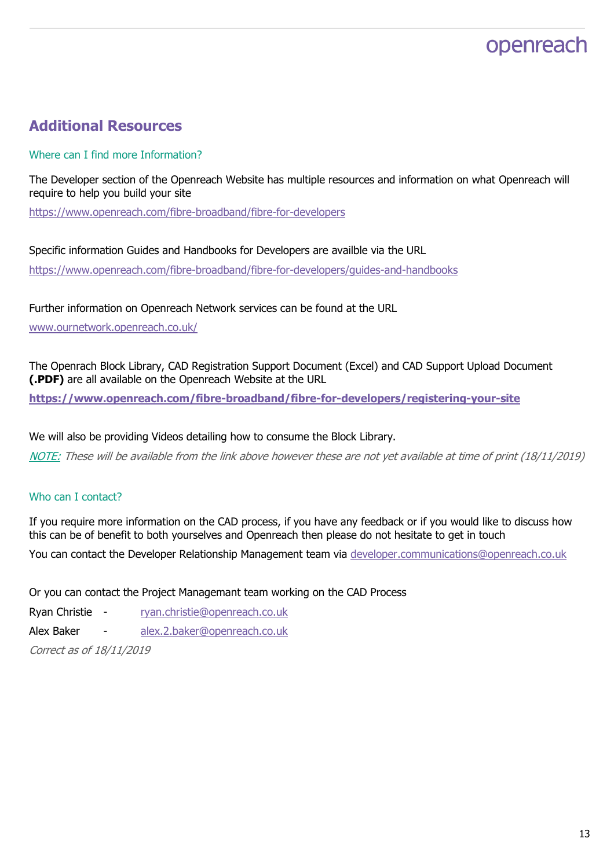## **Additional Resources**

#### Where can I find more Information?

The Developer section of the Openreach Website has multiple resources and information on what Openreach will require to help you build your site

<https://www.openreach.com/fibre-broadband/fibre-for-developers>

Specific information Guides and Handbooks for Developers are availble via the URL https://www.openreach.com/fibre-broadband/fibre-for-developers/guides-and-handbooks

Further information on Openreach Network services can be found at the URL

[www.ournetwork.openreach.co.uk/](http://www.ournetwork.openreach.co.uk/)

The Openrach Block Library, CAD Registration Support Document (Excel) and CAD Support Upload Document **(.PDF)** are all available on the Openreach Website at the URL

**<https://www.openreach.com/fibre-broadband/fibre-for-developers/registering-your-site>**

We will also be providing Videos detailing how to consume the Block Library.

NOTE: These will be available from the link above however these are not yet available at time of print (18/11/2019)

#### Who can I contact?

If you require more information on the CAD process, if you have any feedback or if you would like to discuss how this can be of benefit to both yourselves and Openreach then please do not hesitate to get in touch

You can contact the Developer Relationship Management team via [developer.communications@openreach.co.uk](mailto:developer.communications@openreach.co.uk)

Or you can contact the Project Managemant team working on the CAD Process

Ryan Christie - [ryan.christie@openreach.co.uk](mailto:ryan.christie@openreach.co.uk)

Alex Baker - [alex.2.baker@openreach.co.uk](mailto:alex.2.baker@openreach.co.uk)

Correct as of 18/11/2019